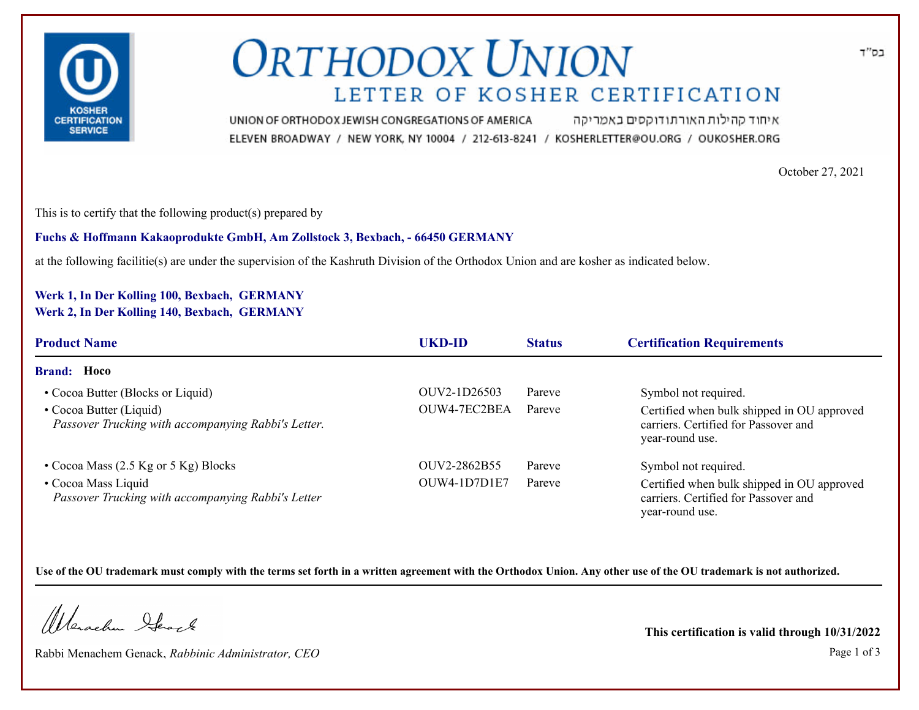

# **ORTHODOX UNION** LETTER OF KOSHER CERTIFICATION

איחוד קהילות האורתודוקסים באמריקה UNION OF ORTHODOX JEWISH CONGREGATIONS OF AMERICA ELEVEN BROADWAY / NEW YORK, NY 10004 / 212-613-8241 / KOSHERLETTER@OU.ORG / OUKOSHER.ORG

October 27, 2021

This is to certify that the following product(s) prepared by

**Fuchs & Hoffmann Kakaoprodukte GmbH, Am Zollstock 3, Bexbach, - 66450 GERMANY**

at the following facilitie(s) are under the supervision of the Kashruth Division of the Orthodox Union and are kosher as indicated below.

### **Werk 1, In Der Kolling 100, Bexbach, GERMANY Werk 2, In Der Kolling 140, Bexbach, GERMANY**

| <b>Product Name</b>                                                            | <b>UKD-ID</b> | <b>Status</b> | <b>Certification Requirements</b>                                                                     |  |
|--------------------------------------------------------------------------------|---------------|---------------|-------------------------------------------------------------------------------------------------------|--|
| <b>Brand:</b> Hoco                                                             |               |               |                                                                                                       |  |
| • Cocoa Butter (Blocks or Liquid)                                              | OUV2-1D26503  | Pareve        | Symbol not required.                                                                                  |  |
| • Cocoa Butter (Liquid)<br>Passover Trucking with accompanying Rabbi's Letter. | OUW4-7EC2BEA  | Pareve        | Certified when bulk shipped in OU approved<br>carriers. Certified for Passover and<br>year-round use. |  |
| • Cocoa Mass $(2.5 \text{ Kg or } 5 \text{ Kg})$ Blocks                        | OUV2-2862B55  | Pareve        | Symbol not required.                                                                                  |  |
| • Cocoa Mass Liquid<br>Passover Trucking with accompanying Rabbi's Letter      | OUW4-1D7D1E7  | Pareve        | Certified when bulk shipped in OU approved<br>carriers. Certified for Passover and<br>year-round use. |  |

**Use of the OU trademark must comply with the terms set forth in a written agreement with the Orthodox Union. Any other use of the OU trademark is not authorized.**

Werschn Heart

Rabbi Menachem Genack, *Rabbinic Administrator, CEO* Page 1 of 3

**This certification is valid through 10/31/2022**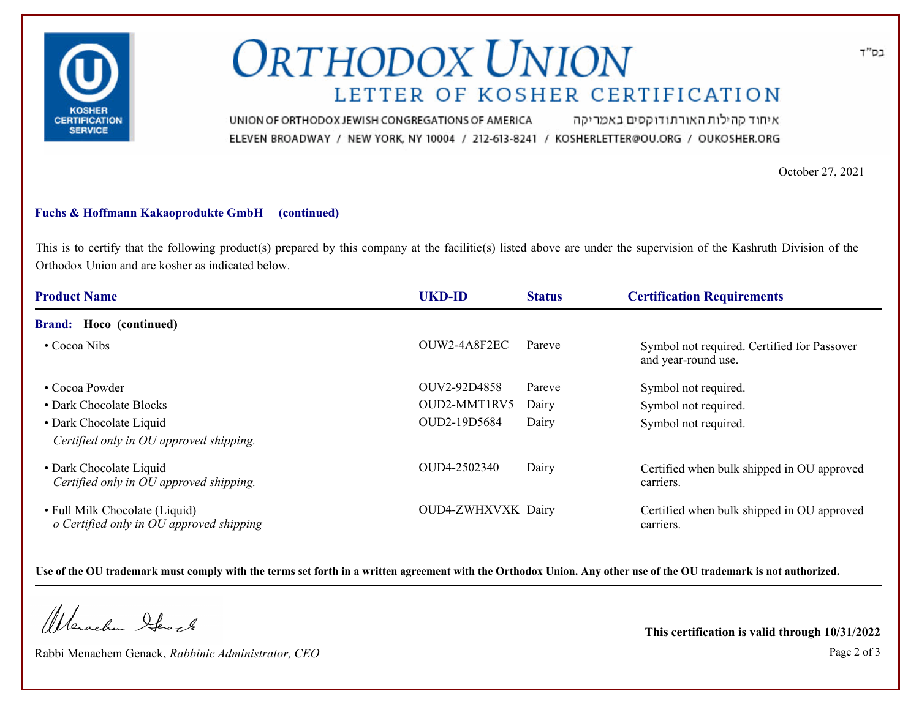

# **ORTHODOX UNION** LETTER OF KOSHER CERTIFICATION

איחוד קהילות האורתודוקסים באמריקה UNION OF ORTHODOX JEWISH CONGREGATIONS OF AMERICA ELEVEN BROADWAY / NEW YORK, NY 10004 / 212-613-8241 / KOSHERLETTER@OU.ORG / OUKOSHER.ORG

October 27, 2021

#### **Fuchs & Hoffmann Kakaoprodukte GmbH (continued)**

This is to certify that the following product(s) prepared by this company at the facilitie(s) listed above are under the supervision of the Kashruth Division of the Orthodox Union and are kosher as indicated below.

| <b>Product Name</b>                                                        | <b>UKD-ID</b>      | <b>Status</b> | <b>Certification Requirements</b>                                  |
|----------------------------------------------------------------------------|--------------------|---------------|--------------------------------------------------------------------|
| <b>Brand:</b> Hoco (continued)                                             |                    |               |                                                                    |
| $\cdot$ Cocoa Nibs                                                         | OUW2-4A8F2EC       | Pareve        | Symbol not required. Certified for Passover<br>and year-round use. |
| • Cocoa Powder                                                             | OUV2-92D4858       | Pareve        | Symbol not required.                                               |
| • Dark Chocolate Blocks                                                    | OUD2-MMT1RV5       | Dairy         | Symbol not required.                                               |
| • Dark Chocolate Liquid                                                    | OUD2-19D5684       | Dairy         | Symbol not required.                                               |
| Certified only in OU approved shipping.                                    |                    |               |                                                                    |
| • Dark Chocolate Liquid<br>Certified only in OU approved shipping.         | OUD4-2502340       | Dairy         | Certified when bulk shipped in OU approved<br>carriers.            |
| • Full Milk Chocolate (Liquid)<br>o Certified only in OU approved shipping | OUD4-ZWHXVXK Dairy |               | Certified when bulk shipped in OU approved<br>carriers.            |

**Use of the OU trademark must comply with the terms set forth in a written agreement with the Orthodox Union. Any other use of the OU trademark is not authorized.**

Werachen Stack

Rabbi Menachem Genack, *Rabbinic Administrator, CEO* Page 2 of 3

**This certification is valid through 10/31/2022**

בס"ד